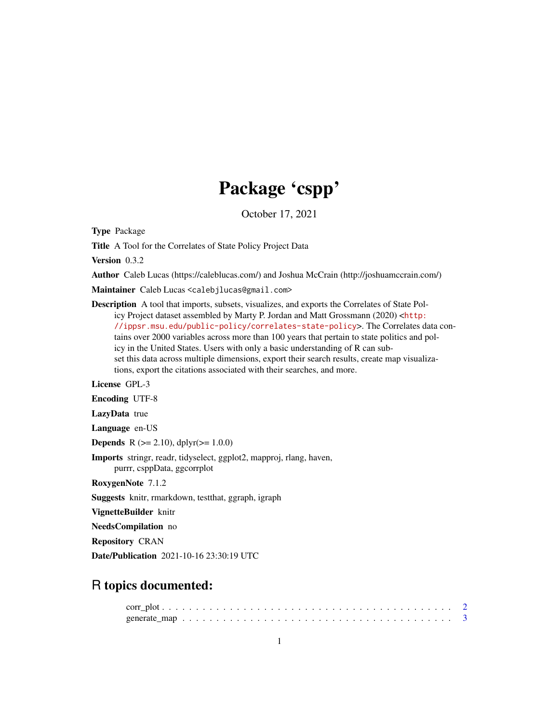# Package 'cspp'

October 17, 2021

<span id="page-0-0"></span>Type Package

Title A Tool for the Correlates of State Policy Project Data

Version 0.3.2

Author Caleb Lucas (https://caleblucas.com/) and Joshua McCrain (http://joshuamccrain.com/)

Maintainer Caleb Lucas <calebjlucas@gmail.com>

Description A tool that imports, subsets, visualizes, and exports the Correlates of State Policy Project dataset assembled by Marty P. Jordan and Matt Grossmann (2020) <[http:](http://ippsr.msu.edu/public-policy/correlates-state-policy) [//ippsr.msu.edu/public-policy/correlates-state-policy](http://ippsr.msu.edu/public-policy/correlates-state-policy)>. The Correlates data contains over 2000 variables across more than 100 years that pertain to state politics and policy in the United States. Users with only a basic understanding of R can subset this data across multiple dimensions, export their search results, create map visualizations, export the citations associated with their searches, and more.

License GPL-3

Encoding UTF-8

LazyData true

Language en-US

**Depends** R ( $>= 2.10$ ), dplyr( $>= 1.0.0$ )

Imports stringr, readr, tidyselect, ggplot2, mapproj, rlang, haven, purrr, csppData, ggcorrplot

RoxygenNote 7.1.2

Suggests knitr, rmarkdown, testthat, ggraph, igraph

VignetteBuilder knitr

NeedsCompilation no

Repository CRAN

Date/Publication 2021-10-16 23:30:19 UTC

# R topics documented: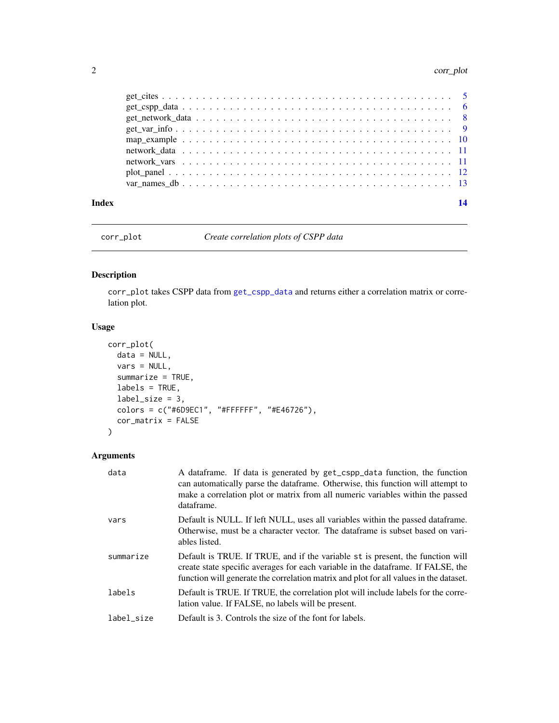#### <span id="page-1-0"></span>2 correspondence to the correspondence of the correspondence of the correspondence of the correspondence of the correspondence of the correspondence of the correspondence of the correspondence of the correspondence of the

| Index |                                                                                                      | 14 |
|-------|------------------------------------------------------------------------------------------------------|----|
|       |                                                                                                      |    |
|       |                                                                                                      |    |
|       |                                                                                                      |    |
|       |                                                                                                      |    |
|       |                                                                                                      |    |
|       | $get\_var\_info \ldots \ldots \ldots \ldots \ldots \ldots \ldots \ldots \ldots \ldots \ldots \ldots$ |    |
|       |                                                                                                      |    |
|       |                                                                                                      |    |
|       |                                                                                                      |    |

corr\_plot *Create correlation plots of CSPP data*

# Description

corr\_plot takes CSPP data from [get\\_cspp\\_data](#page-5-1) and returns either a correlation matrix or correlation plot.

# Usage

```
corr_plot(
 data = NULL,vars = NULL,summarize = TRUE,
 labels = TRUE,
  label\_size = 3,colors = c("#6D9EC1", "#FFFFFF", "#E46726"),
  cor_matrix = FALSE
)
```
# Arguments

| data       | A dataframe. If data is generated by get_cspp_data function, the function<br>can automatically parse the data frame. Otherwise, this function will attempt to<br>make a correlation plot or matrix from all numeric variables within the passed<br>dataframe. |
|------------|---------------------------------------------------------------------------------------------------------------------------------------------------------------------------------------------------------------------------------------------------------------|
| vars       | Default is NULL. If left NULL, uses all variables within the passed dataframe.<br>Otherwise, must be a character vector. The dataframe is subset based on vari-<br>ables listed.                                                                              |
| summarize  | Default is TRUE. If TRUE, and if the variable st is present, the function will<br>create state specific averages for each variable in the data frame. If FALSE, the<br>function will generate the correlation matrix and plot for all values in the dataset.  |
| labels     | Default is TRUE. If TRUE, the correlation plot will include labels for the corre-<br>lation value. If FALSE, no labels will be present.                                                                                                                       |
| label size | Default is 3. Controls the size of the font for labels.                                                                                                                                                                                                       |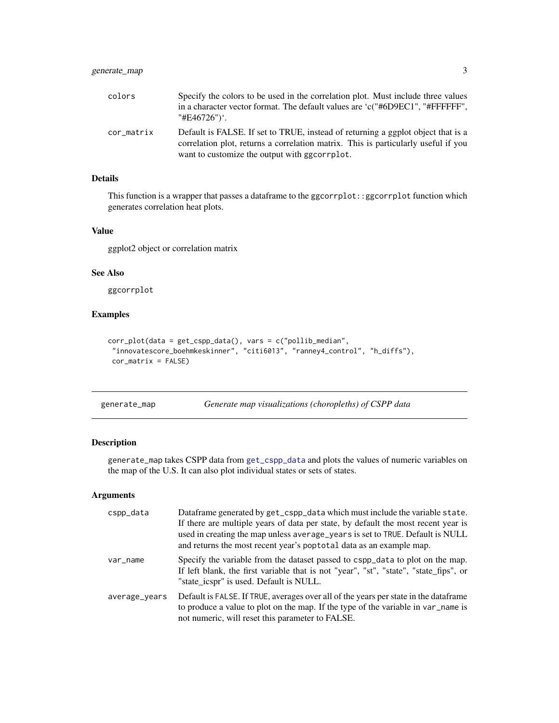<span id="page-2-0"></span>

| colors     | Specify the colors to be used in the correlation plot. Must include three values<br>in a character vector format. The default values are 'c("#6D9EC1", "#FFFFFF",<br>"#E46726")'.                                       |
|------------|-------------------------------------------------------------------------------------------------------------------------------------------------------------------------------------------------------------------------|
| cor_matrix | Default is FALSE. If set to TRUE, instead of returning a ggplot object that is a<br>correlation plot, returns a correlation matrix. This is particularly useful if you<br>want to customize the output with ggcorrplot. |

# Details

This function is a wrapper that passes a dataframe to the ggcorrplot::ggcorrplot function which generates correlation heat plots.

### Value

ggplot2 object or correlation matrix

#### See Also

ggcorrplot

# Examples

```
corr_plot(data = get_cspp_data(), vars = c("pollib_median",
"innovatescore_boehmkeskinner", "citi6013", "ranney4_control", "h_diffs"),
cor_matrix = FALSE)
```
<span id="page-2-1"></span>generate\_map *Generate map visualizations (choropleths) of CSPP data*

#### Description

generate\_map takes CSPP data from [get\\_cspp\\_data](#page-5-1) and plots the values of numeric variables on the map of the U.S. It can also plot individual states or sets of states.

#### Arguments

| cspp_data     | Dataframe generated by get_cspp_data which must include the variable state.<br>If there are multiple years of data per state, by default the most recent year is<br>used in creating the map unless average_years is set to TRUE. Default is NULL<br>and returns the most recent year's poptotal data as an example map. |
|---------------|--------------------------------------------------------------------------------------------------------------------------------------------------------------------------------------------------------------------------------------------------------------------------------------------------------------------------|
| var_name      | Specify the variable from the dataset passed to cspp_data to plot on the map.<br>If left blank, the first variable that is not "year", "st", "state", "state_fips", or<br>"state icspr" is used. Default is NULL.                                                                                                        |
| average_years | Default is FALSE. If TRUE, averages over all of the years per state in the data frame<br>to produce a value to plot on the map. If the type of the variable in var_name is<br>not numeric, will reset this parameter to FALSE.                                                                                           |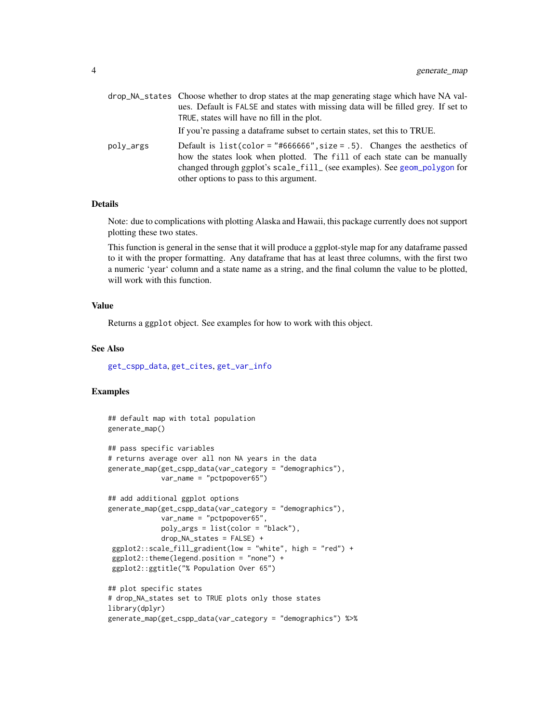<span id="page-3-0"></span>

|           | drop_NA_states Choose whether to drop states at the map generating stage which have NA val-<br>ues. Default is FALSE and states with missing data will be filled grey. If set to<br>TRUE, states will have no fill in the plot.<br>If you're passing a data frame subset to certain states, set this to TRUE. |
|-----------|---------------------------------------------------------------------------------------------------------------------------------------------------------------------------------------------------------------------------------------------------------------------------------------------------------------|
| poly_args | Default is list(color = "#666666", size = .5). Changes the aesthetics of<br>how the states look when plotted. The fill of each state can be manually<br>changed through ggplot's scale_fill_ (see examples). See geom_polygon for<br>other options to pass to this argument.                                  |

### Details

Note: due to complications with plotting Alaska and Hawaii, this package currently does not support plotting these two states.

This function is general in the sense that it will produce a ggplot-style map for any dataframe passed to it with the proper formatting. Any dataframe that has at least three columns, with the first two a numeric 'year' column and a state name as a string, and the final column the value to be plotted, will work with this function.

#### Value

Returns a ggplot object. See examples for how to work with this object.

#### See Also

[get\\_cspp\\_data](#page-5-1), [get\\_cites](#page-4-1), [get\\_var\\_info](#page-8-1)

# Examples

```
## default map with total population
generate_map()
## pass specific variables
# returns average over all non NA years in the data
generate_map(get_cspp_data(var_category = "demographics"),
            var_name = "pctpopover65")
## add additional ggplot options
generate_map(get_cspp_data(var_category = "demographics"),
            var_name = "pctpopover65",
            poly_args = list(color = "black"),
            drop_NA_states = FALSE) +
 ggplot2::scale_fill_gradient(low = "white", high = "red") +
 ggplot2::theme(legend.position = "none") +
 ggplot2::ggtitle("% Population Over 65")
## plot specific states
# drop_NA_states set to TRUE plots only those states
library(dplyr)
generate_map(get_cspp_data(var_category = "demographics") %>%
```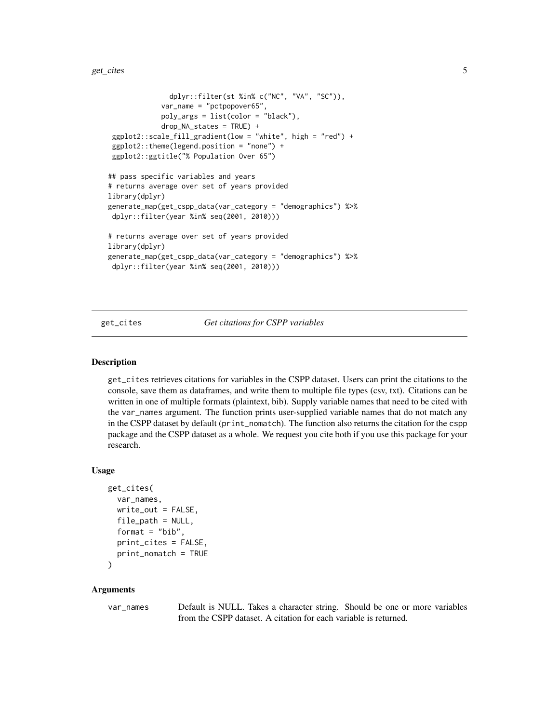```
dplyr::filter(st %in% c("NC", "VA", "SC")),
             var_name = "pctpopover65",
             poly_args = list(color = "black"),
             drop_NA_states = TRUE) +
 ggplot2::scale_fill_gradient(low = "white", high = "red") +
 ggplot2::theme(legend.position = "none") +
 ggplot2::ggtitle("% Population Over 65")
## pass specific variables and years
# returns average over set of years provided
library(dplyr)
generate_map(get_cspp_data(var_category = "demographics") %>%
dplyr::filter(year %in% seq(2001, 2010)))
# returns average over set of years provided
library(dplyr)
generate_map(get_cspp_data(var_category = "demographics") %>%
dplyr::filter(year %in% seq(2001, 2010)))
```
<span id="page-4-1"></span>get\_cites *Get citations for CSPP variables*

#### Description

get\_cites retrieves citations for variables in the CSPP dataset. Users can print the citations to the console, save them as dataframes, and write them to multiple file types (csv, txt). Citations can be written in one of multiple formats (plaintext, bib). Supply variable names that need to be cited with the var\_names argument. The function prints user-supplied variable names that do not match any in the CSPP dataset by default (print\_nomatch). The function also returns the citation for the cspp package and the CSPP dataset as a whole. We request you cite both if you use this package for your research.

#### Usage

```
get_cites(
 var_names,
  write_out = FALSE,
  file_path = NULL,
  format = "bib",print_cites = FALSE,
  print_nomatch = TRUE
)
```
#### Arguments

var\_names Default is NULL. Takes a character string. Should be one or more variables from the CSPP dataset. A citation for each variable is returned.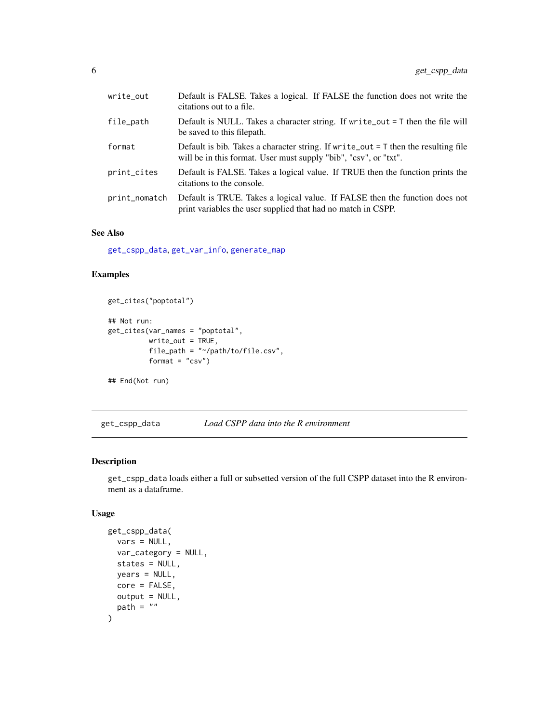<span id="page-5-0"></span>

| write_out     | Default is FALSE. Takes a logical. If FALSE the function does not write the<br>citations out to a file.                                                  |
|---------------|----------------------------------------------------------------------------------------------------------------------------------------------------------|
| file_path     | Default is NULL. Takes a character string. If write_out $=$ T then the file will<br>be saved to this filepath.                                           |
| format        | Default is bib. Takes a character string. If write out $=$ T then the resulting file<br>will be in this format. User must supply "bib", "csv", or "txt". |
| print_cites   | Default is FALSE. Takes a logical value. If TRUE then the function prints the<br>citations to the console.                                               |
| print_nomatch | Default is TRUE. Takes a logical value. If FALSE then the function does not<br>print variables the user supplied that had no match in CSPP.              |

# See Also

[get\\_cspp\\_data](#page-5-1), [get\\_var\\_info](#page-8-1), [generate\\_map](#page-2-1)

#### Examples

```
get_cites("poptotal")
## Not run:
```

```
get_cites(var_names = "poptotal",
         write_out = TRUE,
         file_path = "~/path/to/file.csv",
         format = "csv")
```
## End(Not run)

<span id="page-5-1"></span>get\_cspp\_data *Load CSPP data into the R environment*

# Description

get\_cspp\_data loads either a full or subsetted version of the full CSPP dataset into the R environment as a dataframe.

### Usage

```
get_cspp_data(
 vars = NULL,var_category = NULL,
 states = NULL,
 years = NULL,
 core = FALSE,
 output = NULL,path = "")
```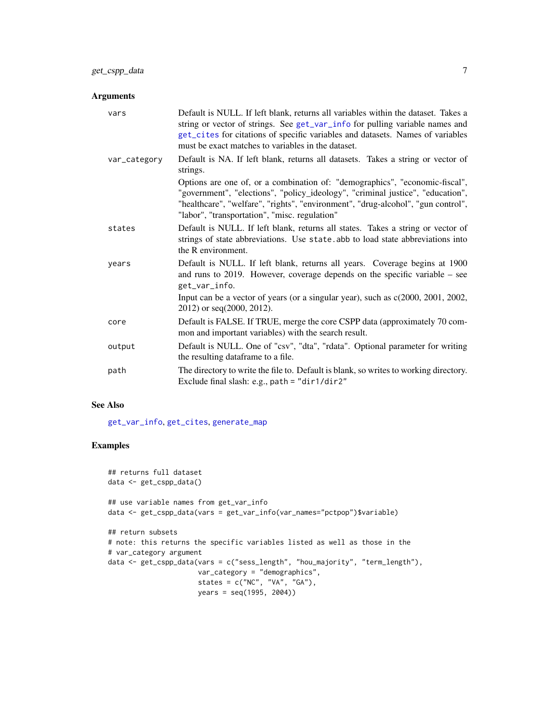# <span id="page-6-0"></span>Arguments

| vars         | Default is NULL. If left blank, returns all variables within the dataset. Takes a<br>string or vector of strings. See get_var_info for pulling variable names and<br>get_cites for citations of specific variables and datasets. Names of variables<br>must be exact matches to variables in the dataset. |
|--------------|-----------------------------------------------------------------------------------------------------------------------------------------------------------------------------------------------------------------------------------------------------------------------------------------------------------|
| var_category | Default is NA. If left blank, returns all datasets. Takes a string or vector of<br>strings.                                                                                                                                                                                                               |
|              | Options are one of, or a combination of: "demographics", "economic-fiscal",<br>"government", "elections", "policy_ideology", "criminal justice", "education",<br>"healthcare", "welfare", "rights", "environment", "drug-alcohol", "gun control",<br>"labor", "transportation", "misc. regulation"        |
| states       | Default is NULL. If left blank, returns all states. Takes a string or vector of<br>strings of state abbreviations. Use state abb to load state abbreviations into<br>the R environment.                                                                                                                   |
| years        | Default is NULL. If left blank, returns all years. Coverage begins at 1900<br>and runs to $2019$ . However, coverage depends on the specific variable – see<br>get_var_info.                                                                                                                              |
|              | Input can be a vector of years (or a singular year), such as $c(2000, 2001, 2002, 2001)$<br>2012) or seq(2000, 2012).                                                                                                                                                                                     |
| core         | Default is FALSE. If TRUE, merge the core CSPP data (approximately 70 com-<br>mon and important variables) with the search result.                                                                                                                                                                        |
| output       | Default is NULL. One of "csv", "dta", "rdata". Optional parameter for writing<br>the resulting dataframe to a file.                                                                                                                                                                                       |
| path         | The directory to write the file to. Default is blank, so writes to working directory.<br>Exclude final slash: e.g., path = "dir1/dir2"                                                                                                                                                                    |

#### See Also

[get\\_var\\_info](#page-8-1), [get\\_cites](#page-4-1), [generate\\_map](#page-2-1)

#### Examples

```
## returns full dataset
data <- get_cspp_data()
## use variable names from get_var_info
data <- get_cspp_data(vars = get_var_info(var_names="pctpop")$variable)
## return subsets
# note: this returns the specific variables listed as well as those in the
# var_category argument
data <- get_cspp_data(vars = c("sess_length", "hou_majority", "term_length"),
                      var_category = "demographics",
                      states = c("NC", "VA", "GA"),
                      years = seq(1995, 2004))
```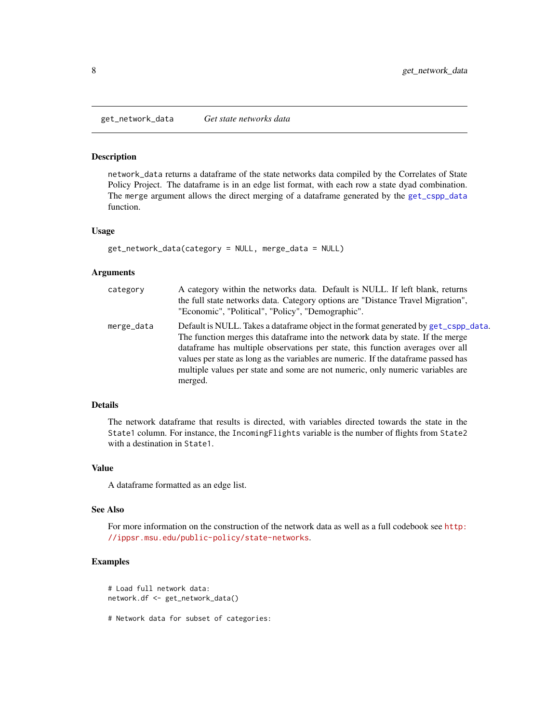<span id="page-7-0"></span>get\_network\_data *Get state networks data*

## Description

network\_data returns a dataframe of the state networks data compiled by the Correlates of State Policy Project. The dataframe is in an edge list format, with each row a state dyad combination. The merge argument allows the direct merging of a dataframe generated by the [get\\_cspp\\_data](#page-5-1) function.

#### Usage

```
get_network_data(category = NULL, merge_data = NULL)
```
#### Arguments

| category   | A category within the networks data. Default is NULL. If left blank, returns<br>the full state networks data. Category options are "Distance Travel Migration",<br>"Economic", "Political", "Policy", "Demographic".                                                                                                                                                                                                                          |
|------------|-----------------------------------------------------------------------------------------------------------------------------------------------------------------------------------------------------------------------------------------------------------------------------------------------------------------------------------------------------------------------------------------------------------------------------------------------|
| merge_data | Default is NULL. Takes a dataframe object in the format generated by get_cspp_data.<br>The function merges this data frame into the network data by state. If the merge<br>dataframe has multiple observations per state, this function averages over all<br>values per state as long as the variables are numeric. If the data frame passed has<br>multiple values per state and some are not numeric, only numeric variables are<br>merged. |

#### Details

The network dataframe that results is directed, with variables directed towards the state in the State1 column. For instance, the IncomingFlights variable is the number of flights from State2 with a destination in State1.

### Value

A dataframe formatted as an edge list.

#### See Also

For more information on the construction of the network data as well as a full codebook see [http:](http://ippsr.msu.edu/public-policy/state-networks) [//ippsr.msu.edu/public-policy/state-networks](http://ippsr.msu.edu/public-policy/state-networks).

# Examples

```
# Load full network data:
network.df <- get_network_data()
```
# Network data for subset of categories: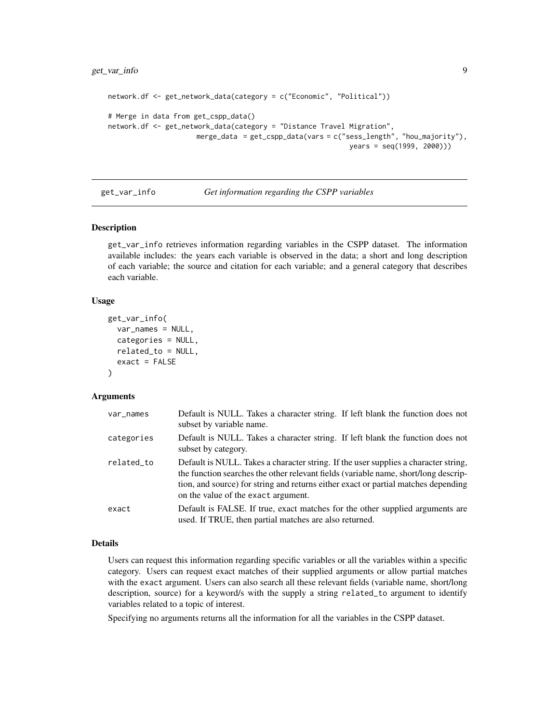```
network.df <- get_network_data(category = c("Economic", "Political"))
# Merge in data from get_cspp_data()
network.df <- get_network_data(category = "Distance Travel Migration",
                     merge_data = get_cspp_data(vars = c("sess_length", "hou_majority"),
                                                           years = seq(1999, 2000)))
```
<span id="page-8-1"></span>

get\_var\_info *Get information regarding the CSPP variables*

#### Description

get\_var\_info retrieves information regarding variables in the CSPP dataset. The information available includes: the years each variable is observed in the data; a short and long description of each variable; the source and citation for each variable; and a general category that describes each variable.

#### Usage

```
get_var_info(
  var_names = NULL,
  categories = NULL,
  related_to = NULL,
  exact = FALSE)
```
#### **Arguments**

| var_names  | Default is NULL. Takes a character string. If left blank the function does not<br>subset by variable name.                                                                                                                                                                                              |
|------------|---------------------------------------------------------------------------------------------------------------------------------------------------------------------------------------------------------------------------------------------------------------------------------------------------------|
| categories | Default is NULL. Takes a character string. If left blank the function does not<br>subset by category.                                                                                                                                                                                                   |
| related_to | Default is NULL. Takes a character string. If the user supplies a character string,<br>the function searches the other relevant fields (variable name, short/long descrip-<br>tion, and source) for string and returns either exact or partial matches depending<br>on the value of the exact argument. |
| exact      | Default is FALSE. If true, exact matches for the other supplied arguments are<br>used. If TRUE, then partial matches are also returned.                                                                                                                                                                 |

# Details

Users can request this information regarding specific variables or all the variables within a specific category. Users can request exact matches of their supplied arguments or allow partial matches with the exact argument. Users can also search all these relevant fields (variable name, short/long description, source) for a keyword/s with the supply a string related\_to argument to identify variables related to a topic of interest.

Specifying no arguments returns all the information for all the variables in the CSPP dataset.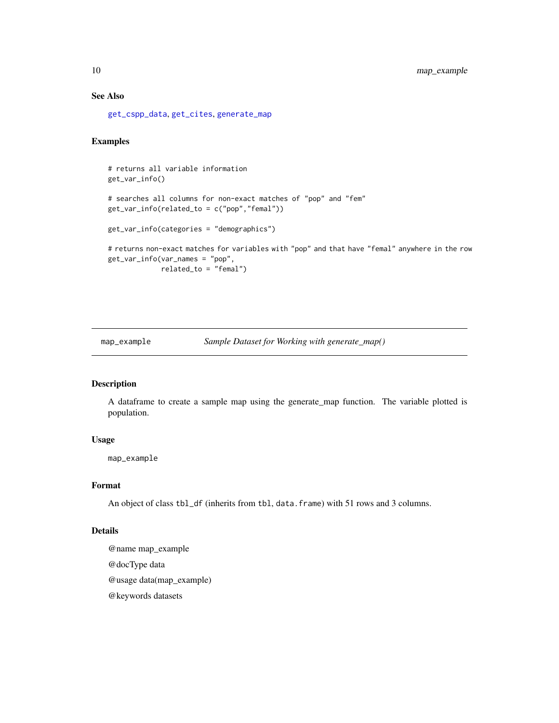# See Also

[get\\_cspp\\_data](#page-5-1), [get\\_cites](#page-4-1), [generate\\_map](#page-2-1)

# Examples

```
# returns all variable information
get_var_info()
# searches all columns for non-exact matches of "pop" and "fem"
get_var_info(related_to = c("pop","femal"))
get_var_info(categories = "demographics")
# returns non-exact matches for variables with "pop" and that have "femal" anywhere in the row
get_var_info(var_names = "pop",
             related_to = "femal")
```
map\_example *Sample Dataset for Working with generate\_map()*

# Description

A dataframe to create a sample map using the generate\_map function. The variable plotted is population.

#### Usage

map\_example

#### Format

An object of class tbl\_df (inherits from tbl, data.frame) with 51 rows and 3 columns.

#### Details

@name map\_example @docType data @usage data(map\_example) @keywords datasets

<span id="page-9-0"></span>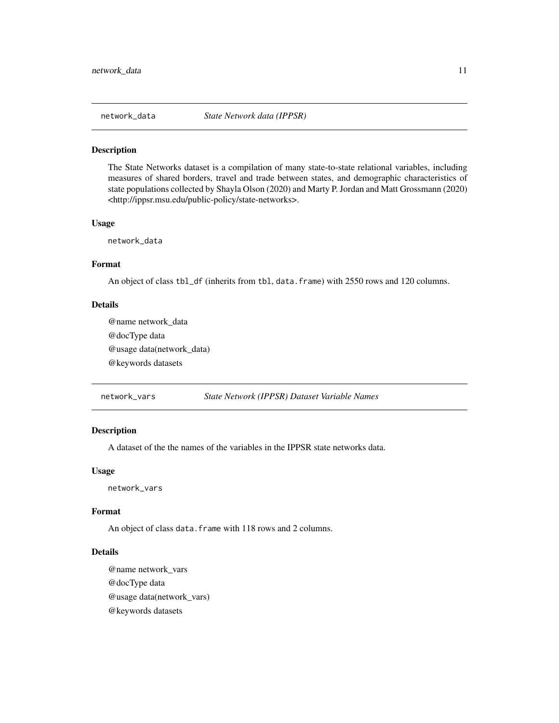<span id="page-10-0"></span>

#### Description

The State Networks dataset is a compilation of many state-to-state relational variables, including measures of shared borders, travel and trade between states, and demographic characteristics of state populations collected by Shayla Olson (2020) and Marty P. Jordan and Matt Grossmann (2020) <http://ippsr.msu.edu/public-policy/state-networks>.

#### Usage

network\_data

#### Format

An object of class tbl\_df (inherits from tbl, data.frame) with 2550 rows and 120 columns.

#### Details

@name network\_data @docType data @usage data(network\_data) @keywords datasets

network\_vars *State Network (IPPSR) Dataset Variable Names*

# Description

A dataset of the the names of the variables in the IPPSR state networks data.

#### Usage

network\_vars

#### Format

An object of class data. frame with 118 rows and 2 columns.

# Details

@name network\_vars @docType data @usage data(network\_vars) @keywords datasets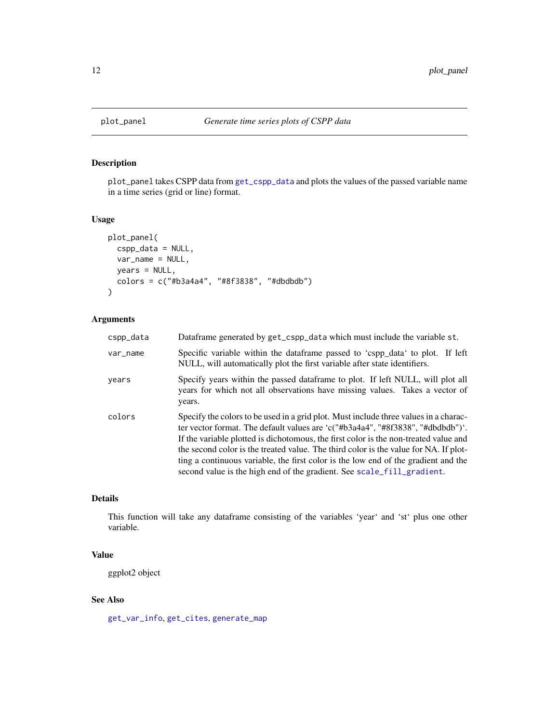# Description

plot\_panel takes CSPP data from [get\\_cspp\\_data](#page-5-1) and plots the values of the passed variable name in a time series (grid or line) format.

#### Usage

```
plot_panel(
  cspp_data = NULL,
  var_name = NULL,
 years = NULL,
 colors = c("#b3a4a4", "#8f3838", "#dbdbdb")
)
```
# Arguments

| cspp_data | Dataframe generated by get_cspp_data which must include the variable st.                                                                                                                                                                                                                                                                                                                                                                                                                                                |
|-----------|-------------------------------------------------------------------------------------------------------------------------------------------------------------------------------------------------------------------------------------------------------------------------------------------------------------------------------------------------------------------------------------------------------------------------------------------------------------------------------------------------------------------------|
| var_name  | Specific variable within the dataframe passed to 'cspp_data' to plot. If left<br>NULL, will automatically plot the first variable after state identifiers.                                                                                                                                                                                                                                                                                                                                                              |
| years     | Specify years within the passed dataframe to plot. If left NULL, will plot all<br>years for which not all observations have missing values. Takes a vector of<br>years.                                                                                                                                                                                                                                                                                                                                                 |
| colors    | Specify the colors to be used in a grid plot. Must include three values in a charac-<br>ter vector format. The default values are 'c("#b3a4a4", "#8f3838", "#dbdbdb")'.<br>If the variable plotted is dichotomous, the first color is the non-treated value and<br>the second color is the treated value. The third color is the value for NA. If plot-<br>ting a continuous variable, the first color is the low end of the gradient and the<br>second value is the high end of the gradient. See scale_fill_gradient. |

#### Details

This function will take any dataframe consisting of the variables 'year' and 'st' plus one other variable.

# Value

ggplot2 object

# See Also

[get\\_var\\_info](#page-8-1), [get\\_cites](#page-4-1), [generate\\_map](#page-2-1)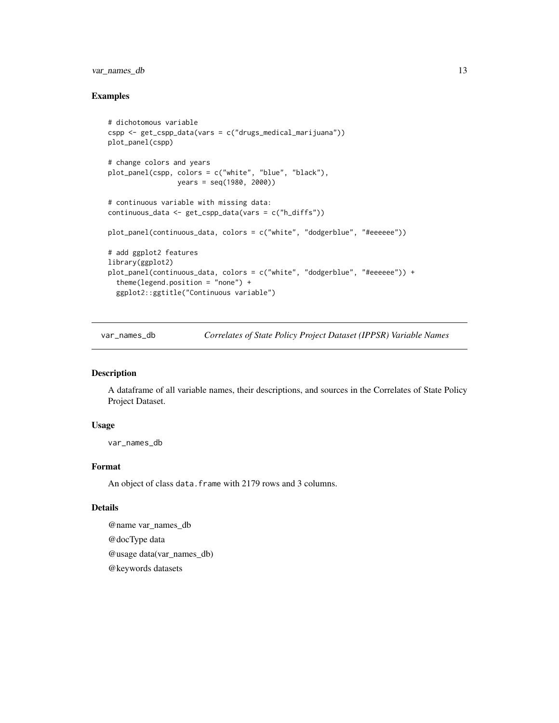# <span id="page-12-0"></span>var\_names\_db 13

#### Examples

```
# dichotomous variable
cspp <- get_cspp_data(vars = c("drugs_medical_marijuana"))
plot_panel(cspp)
# change colors and years
plot_panel(cspp, colors = c("white", "blue", "black"),
                 years = seq(1980, 2000))
# continuous variable with missing data:
continuous_data <- get_cspp_data(vars = c("h_diffs"))
plot_panel(continuous_data, colors = c("white", "dodgerblue", "#eeeeee"))
# add ggplot2 features
library(ggplot2)
plot_panel(continuous_data, colors = c("white", "dodgerblue", "#eeeeee")) +
 theme(legend.position = "none") +
 ggplot2::ggtitle("Continuous variable")
```
var\_names\_db *Correlates of State Policy Project Dataset (IPPSR) Variable Names*

# Description

A dataframe of all variable names, their descriptions, and sources in the Correlates of State Policy Project Dataset.

#### Usage

var\_names\_db

# Format

An object of class data.frame with 2179 rows and 3 columns.

# Details

@name var\_names\_db @docType data @usage data(var\_names\_db) @keywords datasets